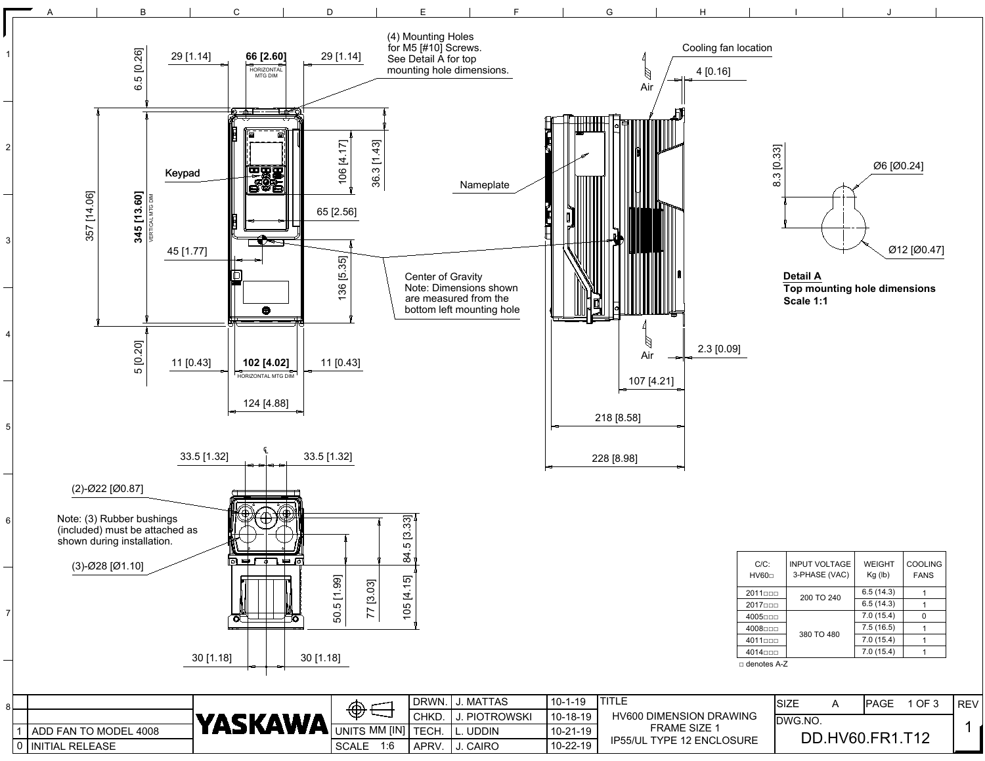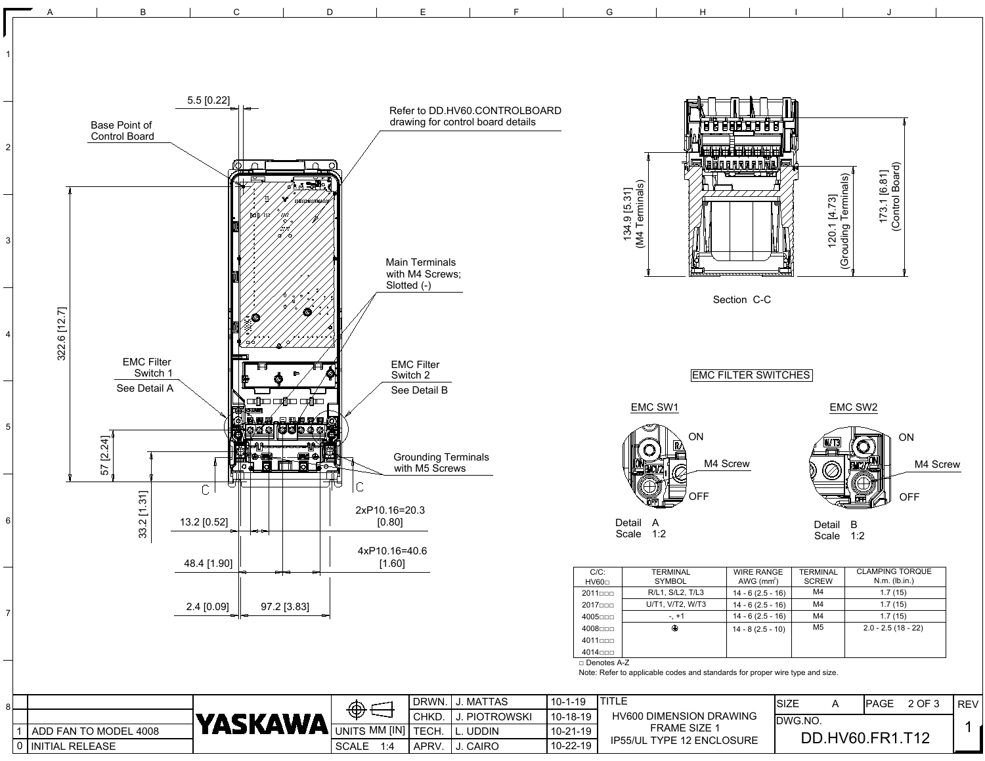